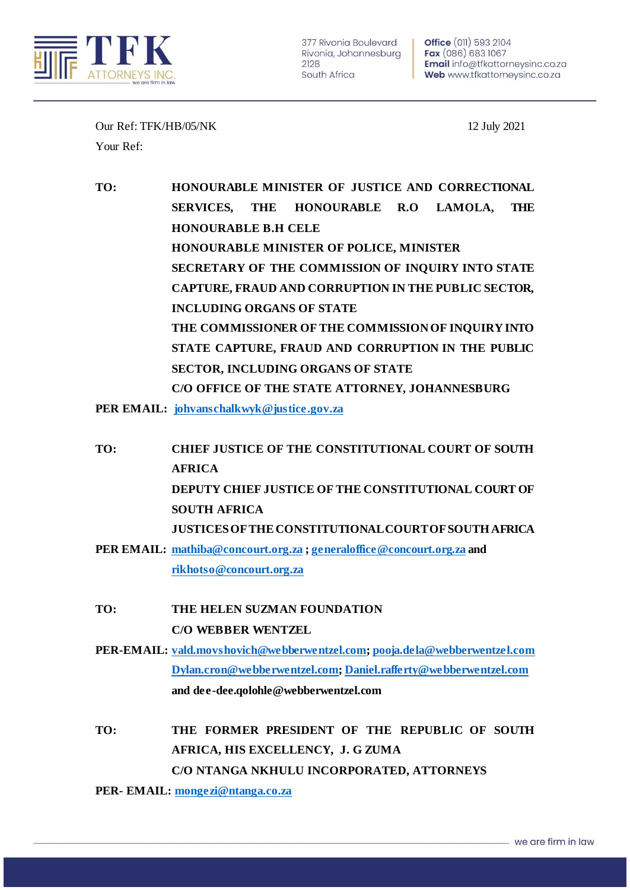

Our Ref: TFK/HB/05/NK 12 July 2021 Your Ref:

**TO: HONOURABLE MINISTER OF JUSTICE AND CORRECTIONAL SERVICES, THE HONOURABLE R.O LAMOLA, THE HONOURABLE B.H CELE HONOURABLE MINISTER OF POLICE, MINISTER SECRETARY OF THE COMMISSION OF INQUIRY INTO STATE CAPTURE, FRAUD AND CORRUPTION IN THE PUBLIC SECTOR, INCLUDING ORGANS OF STATE THE COMMISSIONER OF THE COMMISSION OF INQUIRY INTO STATE CAPTURE, FRAUD AND CORRUPTION IN THE PUBLIC SECTOR, INCLUDING ORGANS OF STATE C/O OFFICE OF THE STATE ATTORNEY, JOHANNESBURG**

**PER EMAIL: [johvanschalkwyk@justice.gov.za](mailto:johvanschalkwyk@justice.gov.za)**

- **TO: CHIEF JUSTICE OF THE CONSTITUTIONAL COURT OF SOUTH AFRICA DEPUTY CHIEF JUSTICE OF THE CONSTITUTIONAL COURT OF SOUTH AFRICA JUSTICES OF THE CONSTITUTIONAL COURT OF SOUTH AFRICA**
- **PER EMAIL: [mathiba@concourt.org.za](mailto:mathiba@concourt.org.za) [; generaloffice@concourt.org.za](mailto:generaloffice@concourt.org.za) and [rikhotso@concourt.org.za](mailto:rikhotso@concourt.org.za)**
- **TO: THE HELEN SUZMAN FOUNDATION C/O WEBBER WENTZEL**
- **PER-EMAIL: [vald.movshovich@webberwentzel.com](mailto:vald.movshovich@webberwentzel.com)[; pooja.dela@webberwentzel.com](mailto:pooja.dela@webberwentzel.com) [Dylan.cron@webberwentzel.com](mailto:Dylan.cron@webberwentzel.com)[; Daniel.rafferty@webberwentzel.com](mailto:Daniel.rafferty@webberwentzel.com) and dee-dee.qolohle@webberwentzel.com**
- **TO: THE FORMER PRESIDENT OF THE REPUBLIC OF SOUTH AFRICA, HIS EXCELLENCY, J. G ZUMA C/O NTANGA NKHULU INCORPORATED, ATTORNEYS**

**PER- EMAIL[: mongezi@ntanga.co.za](mailto:mongezi@ntanga.co.za)**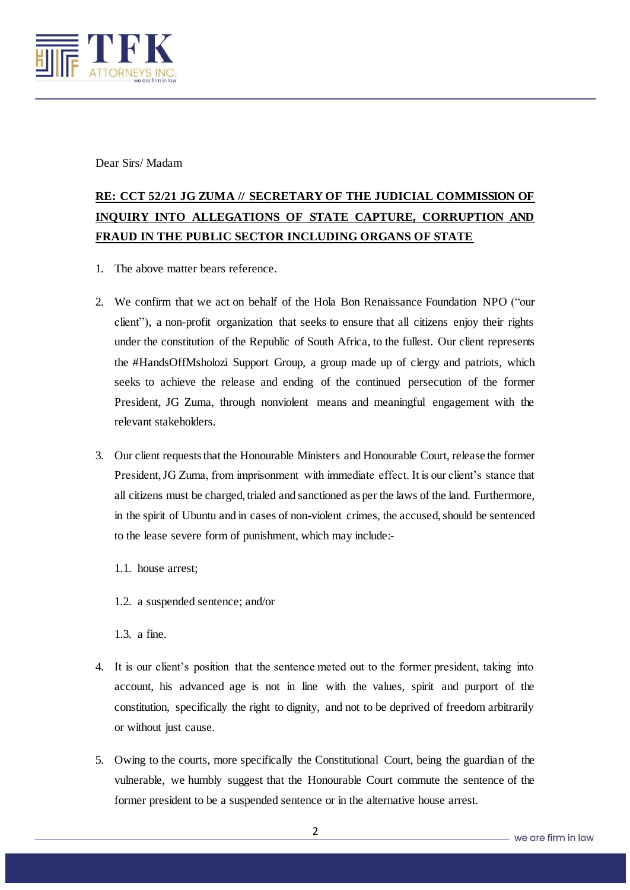

Dear Sirs/ Madam

## **RE: CCT 52/21 JG ZUMA // SECRETARY OF THE JUDICIAL COMMISSION OF INQUIRY INTO ALLEGATIONS OF STATE CAPTURE, CORRUPTION AND FRAUD IN THE PUBLIC SECTOR INCLUDING ORGANS OF STATE**

- 1. The above matter bears reference.
- 2. We confirm that we act on behalf of the Hola Bon Renaissance Foundation NPO ("our client"), a non-profit organization that seeks to ensure that all citizens enjoy their rights under the constitution of the Republic of South Africa, to the fullest. Our client represents the #HandsOffMsholozi Support Group, a group made up of clergy and patriots, which seeks to achieve the release and ending of the continued persecution of the former President, JG Zuma, through nonviolent means and meaningful engagement with the relevant stakeholders.
- 3. Our client requests that the Honourable Ministers and Honourable Court, release the former President, JG Zuma, from imprisonment with immediate effect. It is our client's stance that all citizens must be charged, trialed and sanctioned as per the laws of the land. Furthermore, in the spirit of Ubuntu and in cases of non-violent crimes, the accused, should be sentenced to the lease severe form of punishment, which may include:-
	- 1.1. house arrest;
	- 1.2. a suspended sentence; and/or

1.3. a fine.

- 4. It is our client's position that the sentence meted out to the former president, taking into account, his advanced age is not in line with the values, spirit and purport of the constitution, specifically the right to dignity, and not to be deprived of freedom arbitrarily or without just cause.
- 5. Owing to the courts, more specifically the Constitutional Court, being the guardian of the vulnerable, we humbly suggest that the Honourable Court commute the sentence of the former president to be a suspended sentence or in the alternative house arrest.